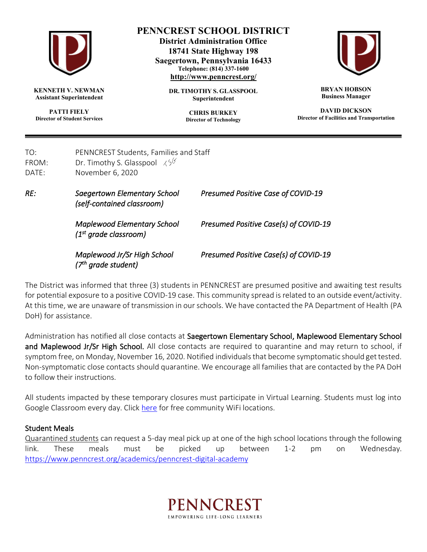

**KENNETH V. NEWMAN Assistant Superintendent**

**PATTI FIELY Director of Student Services**

## **PENNCREST SCHOOL DISTRICT**

**District Administration Office 18741 State Highway 198 Saegertown, Pennsylvania 16433 Telephone: (814) 337-1600 <http://www.penncrest.org/>**

> **DR. TIMOTHY S. GLASSPOOL Superintendent**

> > **CHRIS BURKEY Director of Technology**



**BRYAN HOBSON Business Manager**

**DAVID DICKSON Director of Facilities and Transportation**

| TO:<br>FROM:<br>DATF: | PENNCREST Students, Families and Staff<br>Dr. Timothy S. Glasspool $\sqrt{5}$<br>November 6, 2020 |                                           |
|-----------------------|---------------------------------------------------------------------------------------------------|-------------------------------------------|
| RE:                   | Saegertown Elementary School<br>(self-contained classroom)                                        | <b>Presumed Positive Case of COVID-19</b> |
|                       | <b>Maplewood Elementary School</b><br>(1 <sup>st</sup> grade classroom)                           | Presumed Positive Case(s) of COVID-19     |
|                       | Maplewood Jr/Sr High School<br>(7 <sup>th</sup> grade student)                                    | Presumed Positive Case(s) of COVID-19     |

The District was informed that three (3) students in PENNCREST are presumed positive and awaiting test results for potential exposure to a positive COVID-19 case. This community spread is related to an outside event/activity. At this time, we are unaware of transmission in our schools. We have contacted the PA Department of Health (PA DoH) for assistance.

Administration has notified all close contacts at Saegertown Elementary School, Maplewood Elementary School and Maplewood Jr/Sr High School. All close contacts are required to quarantine and may return to school, if symptom free, on Monday, November 16, 2020. Notified individuals that become symptomatic should get tested. Non-symptomatic close contacts should quarantine. We encourage all families that are contacted by the PA DoH to follow their instructions.

All students impacted by these temporary closures must participate in Virtual Learning. Students must log into Google Classroom every day. Clic[k here](https://www.penncrest.org/wifi) for free community WiFi locations.

## Student Meals

Quarantined students can request a 5-day meal pick up at one of the high school locations through the following link. These meals must be picked up between 1-2 pm on Wednesday. <https://www.penncrest.org/academics/penncrest-digital-academy>